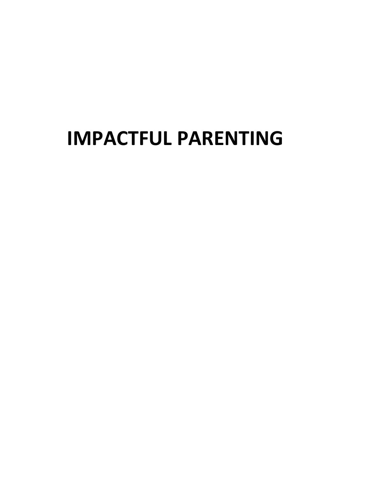# **IMPACTFUL PARENTING**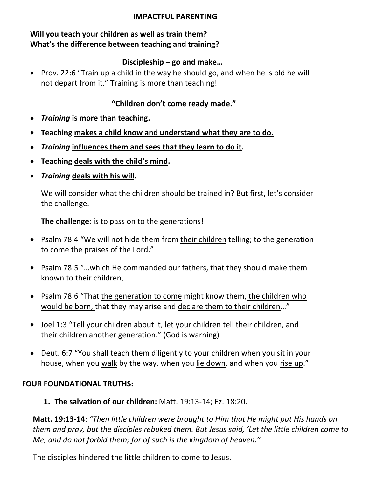#### **IMPACTFUL PARENTING**

## **Will you teach your children as well as train them? What's the difference between teaching and training?**

#### **Discipleship – go and make…**

• Prov. 22:6 "Train up a child in the way he should go, and when he is old he will not depart from it." Training is more than teaching!

#### **"Children don't come ready made."**

- *Training* **is more than teaching.**
- **Teaching makes a child know and understand what they are to do.**
- *Training* **influences them and sees that they learn to do it.**
- **Teaching deals with the child's mind.**
- *Training* **deals with his will.**

We will consider what the children should be trained in? But first, let's consider the challenge.

**The challenge**: is to pass on to the generations!

- Psalm 78:4 "We will not hide them from their children telling; to the generation to come the praises of the Lord."
- Psalm 78:5 "…which He commanded our fathers, that they should make them known to their children,
- Psalm 78:6 "That the generation to come might know them, the children who would be born, that they may arise and declare them to their children…"
- Joel 1:3 "Tell your children about it, let your children tell their children, and their children another generation." (God is warning)
- Deut. 6:7 "You shall teach them diligently to your children when you sit in your house, when you walk by the way, when you lie down, and when you rise up."

#### **FOUR FOUNDATIONAL TRUTHS:**

**1. The salvation of our children:** Matt. 19:13-14; Ez. 18:20.

**Matt. 19:13-14**: *"Then little children were brought to Him that He might put His hands on them and pray, but the disciples rebuked them. But Jesus said, 'Let the little children come to Me, and do not forbid them; for of such is the kingdom of heaven."*

The disciples hindered the little children to come to Jesus.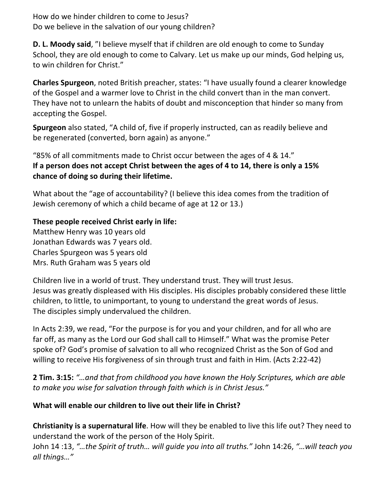How do we hinder children to come to Jesus? Do we believe in the salvation of our young children?

**D. L. Moody said**, "I believe myself that if children are old enough to come to Sunday School, they are old enough to come to Calvary. Let us make up our minds, God helping us, to win children for Christ."

**Charles Spurgeon**, noted British preacher, states: "I have usually found a clearer knowledge of the Gospel and a warmer love to Christ in the child convert than in the man convert. They have not to unlearn the habits of doubt and misconception that hinder so many from accepting the Gospel.

**Spurgeon** also stated, "A child of, five if properly instructed, can as readily believe and be regenerated (converted, born again) as anyone."

"85% of all commitments made to Christ occur between the ages of 4 & 14." **If a person does not accept Christ between the ages of 4 to 14, there is only a 15% chance of doing so during their lifetime.**

What about the "age of accountability? (I believe this idea comes from the tradition of Jewish ceremony of which a child became of age at 12 or 13.)

#### **These people received Christ early in life:**

Matthew Henry was 10 years old Jonathan Edwards was 7 years old. Charles Spurgeon was 5 years old Mrs. Ruth Graham was 5 years old

Children live in a world of trust. They understand trust. They will trust Jesus. Jesus was greatly displeased with His disciples. His disciples probably considered these little children, to little, to unimportant, to young to understand the great words of Jesus. The disciples simply undervalued the children.

In Acts 2:39, we read, "For the purpose is for you and your children, and for all who are far off, as many as the Lord our God shall call to Himself." What was the promise Peter spoke of? God's promise of salvation to all who recognized Christ as the Son of God and willing to receive His forgiveness of sin through trust and faith in Him. (Acts 2:22-42)

**2 Tim. 3:15:** *"…and that from childhood you have known the Holy Scriptures, which are able to make you wise for salvation through faith which is in Christ Jesus."*

## **What will enable our children to live out their life in Christ?**

**Christianity is a supernatural life**. How will they be enabled to live this life out? They need to understand the work of the person of the Holy Spirit.

John 14 :13, *"…the Spirit of truth… will guide you into all truths."* John 14:26, *"…will teach you all things…"*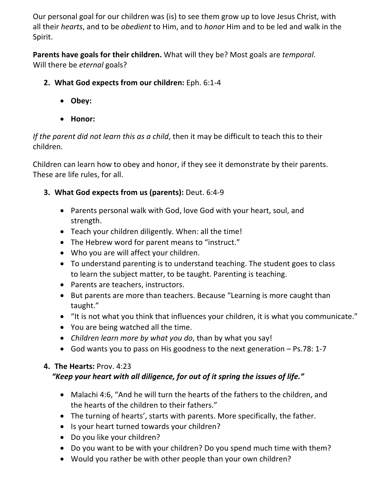Our personal goal for our children was (is) to see them grow up to love Jesus Christ, with all their *hearts*, and to be *obedient* to Him, and to *honor* Him and to be led and walk in the Spirit.

**Parents have goals for their children.** What will they be? Most goals are *temporal*. Will there be *eternal* goals?

- **2. What God expects from our children:** Eph. 6:1-4
	- **Obey:**
	- **Honor:**

*If the parent did not learn this as a child*, then it may be difficult to teach this to their children.

Children can learn how to obey and honor, if they see it demonstrate by their parents. These are life rules, for all.

# **3. What God expects from us (parents):** Deut. 6:4-9

- Parents personal walk with God, love God with your heart, soul, and strength.
- Teach your children diligently. When: all the time!
- The Hebrew word for parent means to "instruct."
- Who you are will affect your children.
- To understand parenting is to understand teaching. The student goes to class to learn the subject matter, to be taught. Parenting is teaching.
- Parents are teachers, instructors.
- But parents are more than teachers. Because "Learning is more caught than taught."
- "It is not what you think that influences your children, it is what you communicate."
- You are being watched all the time.
- *Children learn more by what you do*, than by what you say!
- God wants you to pass on His goodness to the next generation Ps.78: 1-7

# **4. The Hearts:** Prov. 4:23

# *"Keep your heart with all diligence, for out of it spring the issues of life."*

- Malachi 4:6, "And he will turn the hearts of the fathers to the children, and the hearts of the children to their fathers."
- The turning of hearts', starts with parents. More specifically, the father.
- Is your heart turned towards your children?
- Do you like your children?
- Do you want to be with your children? Do you spend much time with them?
- Would you rather be with other people than your own children?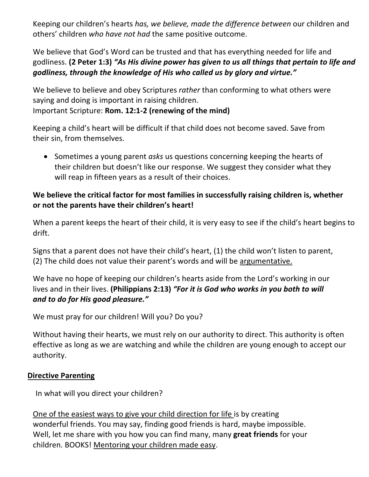Keeping our children's hearts *has, we believe, made the difference between* our children and others' children *who have not had* the same positive outcome.

We believe that God's Word can be trusted and that has everything needed for life and godliness. **(2 Peter 1:3)** *"As His divine power has given to us all things that pertain to life and godliness, through the knowledge of His who called us by glory and virtue."*

We believe to believe and obey Scriptures *rather* than conforming to what others were saying and doing is important in raising children. Important Scripture: **Rom. 12:1-2 (renewing of the mind)**

Keeping a child's heart will be difficult if that child does not become saved. Save from their sin, from themselves.

• Sometimes a young parent *asks* us questions concerning keeping the hearts of their children but doesn't like our response. We suggest they consider what they will reap in fifteen years as a result of their choices.

## **We believe the critical factor for most families in successfully raising children is, whether or not the parents have their children's heart!**

When a parent keeps the heart of their child, it is very easy to see if the child's heart begins to drift.

Signs that a parent does not have their child's heart, (1) the child won't listen to parent, (2) The child does not value their parent's words and will be argumentative.

We have no hope of keeping our children's hearts aside from the Lord's working in our lives and in their lives. **(Philippians 2:13)** *"For it is God who works in you both to will and to do for His good pleasure."*

We must pray for our children! Will you? Do you?

Without having their hearts, we must rely on our authority to direct. This authority is often effective as long as we are watching and while the children are young enough to accept our authority.

#### **Directive Parenting**

In what will you direct your children?

One of the easiest ways to give your child direction for life is by creating wonderful friends. You may say, finding good friends is hard, maybe impossible. Well, let me share with you how you can find many, many **great friends** for your children. BOOKS! Mentoring your children made easy.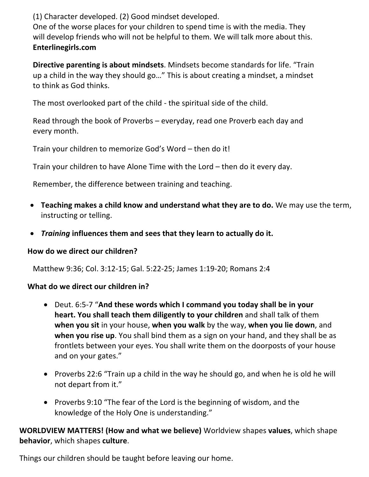(1) Character developed. (2) Good mindset developed.

One of the worse places for your children to spend time is with the media. They will develop friends who will not be helpful to them. We will talk more about this. **Enterlinegirls.com**

**Directive parenting is about mindsets**. Mindsets become standards for life. "Train up a child in the way they should go…" This is about creating a mindset, a mindset to think as God thinks.

The most overlooked part of the child - the spiritual side of the child.

Read through the book of Proverbs – everyday, read one Proverb each day and every month.

Train your children to memorize God's Word – then do it!

Train your children to have Alone Time with the Lord – then do it every day.

Remember, the difference between training and teaching.

- **Teaching makes a child know and understand what they are to do.** We may use the term, instructing or telling.
- *Training* **influences them and sees that they learn to actually do it.**

#### **How do we direct our children?**

Matthew 9:36; Col. 3:12-15; Gal. 5:22-25; James 1:19-20; Romans 2:4

#### **What do we direct our children in?**

- Deut. 6:5-7 "**And these words which I command you today shall be in your heart. You shall teach them diligently to your children** and shall talk of them **when you sit** in your house, **when you walk** by the way, **when you lie down**, and **when you rise up**. You shall bind them as a sign on your hand, and they shall be as frontlets between your eyes. You shall write them on the doorposts of your house and on your gates."
- Proverbs 22:6 "Train up a child in the way he should go, and when he is old he will not depart from it."
- Proverbs 9:10 "The fear of the Lord is the beginning of wisdom, and the knowledge of the Holy One is understanding."

**WORLDVIEW MATTERS! (How and what we believe)** Worldview shapes **values**, which shape **behavior**, which shapes **culture**.

Things our children should be taught before leaving our home.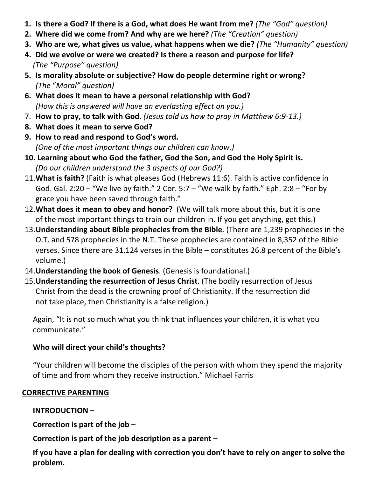- **1. Is there a God? If there is a God, what does He want from me?** *(The "God" question)*
- **2. Where did we come from? And why are we here?** *(The "Creation" question)*
- **3. Who are we, what gives us value, what happens when we die?** *(The "Humanity" question)*
- **4. Did we evolve or were we created? Is there a reason and purpose for life?** *(The "Purpose" question)*
- **5. Is morality absolute or subjective? How do people determine right or wrong?** *(The* "*Moral" question)*
- **6. What does it mean to have a personal relationship with God?** *(How this is answered will have an everlasting effect on you.)*
- 7. **How to pray, to talk with God**. *(Jesus told us how to pray in Matthew 6:9-13.)*
- **8. What does it mean to serve God?**
- **9. How to read and respond to God's word.** *(One of the most important things our children can know.)*
- **10. Learning about who God the father, God the Son, and God the Holy Spirit is.** *(Do our children understand the 3 aspects of our God?)*
- 11.**What is faith?** (Faith is what pleases God (Hebrews 11:6). Faith is active confidence in God. Gal. 2:20 – "We live by faith." 2 Cor. 5:7 – "We walk by faith." Eph. 2:8 – "For by grace you have been saved through faith."
- 12.**What does it mean to obey and honor?** (We will talk more about this, but it is one of the most important things to train our children in. If you get anything, get this.)
- 13.**Understanding about Bible prophecies from the Bible**. (There are 1,239 prophecies in the O.T. and 578 prophecies in the N.T. These prophecies are contained in 8,352 of the Bible verses. Since there are 31,124 verses in the Bible – constitutes 26.8 percent of the Bible's volume.)
- 14.**Understanding the book of Genesis**. (Genesis is foundational.)
- 15.**Understanding the resurrection of Jesus Christ**. (The bodily resurrection of Jesus Christ from the dead is the crowning proof of Christianity. If the resurrection did not take place, then Christianity is a false religion.)

Again, "It is not so much what you think that influences your children, it is what you communicate."

# **Who will direct your child's thoughts?**

"Your children will become the disciples of the person with whom they spend the majority of time and from whom they receive instruction." Michael Farris

## **CORRECTIVE PARENTING**

# **INTRODUCTION –**

**Correction is part of the job –**

**Correction is part of the job description as a parent –**

**If you have a plan for dealing with correction you don't have to rely on anger to solve the problem.**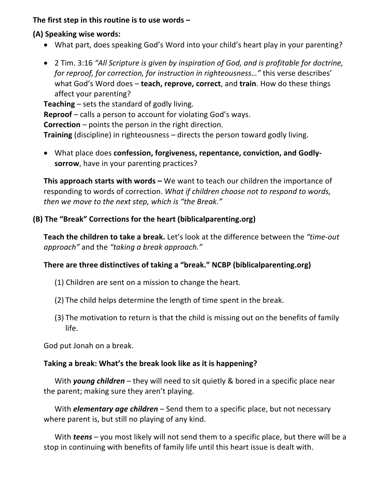**The first step in this routine is to use words –**

- **(A) Speaking wise words:**
	- What part, does speaking God's Word into your child's heart play in your parenting?
	- 2 Tim. 3:16 *"All Scripture is given by inspiration of God, and is profitable for doctrine, for reproof, for correction, for instruction in righteousness…"* this verse describes' what God's Word does – **teach, reprove, correct**, and **train**. How do these things affect your parenting?

**Teaching** – sets the standard of godly living.

**Reproof** – calls a person to account for violating God's ways.

**Correction** – points the person in the right direction.

**Training** (discipline) in righteousness – directs the person toward godly living.

• What place does **confession, forgiveness, repentance, conviction, and Godlysorrow**, have in your parenting practices?

**This approach starts with words –** We want to teach our children the importance of responding to words of correction. *What if children choose not to respond to words, then we move to the next step, which is "the Break."*

#### **(B) The "Break" Corrections for the heart (biblicalparenting.org)**

**Teach the children to take a break.** Let's look at the difference between the *"time-out approach"* and the *"taking a break approach."*

#### **There are three distinctives of taking a "break." NCBP (biblicalparenting.org)**

- (1) Children are sent on a mission to change the heart.
- (2) The child helps determine the length of time spent in the break.
- (3) The motivation to return is that the child is missing out on the benefits of family life.

God put Jonah on a break.

#### **Taking a break: What's the break look like as it is happening?**

With *young children* – they will need to sit quietly & bored in a specific place near the parent; making sure they aren't playing.

With *elementary age children* – Send them to a specific place, but not necessary where parent is, but still no playing of any kind.

With *teens* – you most likely will not send them to a specific place, but there will be a stop in continuing with benefits of family life until this heart issue is dealt with.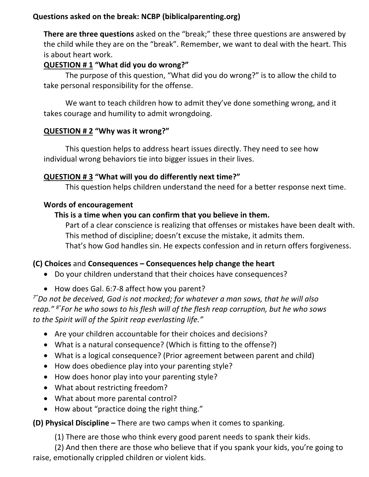## **Questions asked on the break: NCBP (biblicalparenting.org)**

**There are three questions** asked on the "break;" these three questions are answered by the child while they are on the "break". Remember, we want to deal with the heart. This is about heart work.

## **QUESTION # 1 "What did you do wrong?"**

The purpose of this question, "What did you do wrong?" is to allow the child to take personal responsibility for the offense.

We want to teach children how to admit they've done something wrong, and it takes courage and humility to admit wrongdoing.

#### **QUESTION # 2 "Why was it wrong?"**

This question helps to address heart issues directly. They need to see how individual wrong behaviors tie into bigger issues in their lives.

#### **QUESTION # 3 "What will you do differently next time?"**

This question helps children understand the need for a better response next time.

#### **Words of encouragement**

#### **This is a time when you can confirm that you believe in them.**

Part of a clear conscience is realizing that offenses or mistakes have been dealt with. This method of discipline; doesn't excuse the mistake, it admits them. That's how God handles sin. He expects confession and in return offers forgiveness.

#### **(C) Choices** and **Consequences – Consequences help change the heart**

- Do your children understand that their choices have consequences?
- How does Gal. 6:7-8 affect how you parent?

*7"Do not be deceived, God is not mocked; for whatever a man sows, that he will also reap." 8"For he who sows to his flesh will of the flesh reap corruption, but he who sows to the Spirit will of the Spirit reap everlasting life."*

- Are your children accountable for their choices and decisions?
- What is a natural consequence? (Which is fitting to the offense?)
- What is a logical consequence? (Prior agreement between parent and child)
- How does obedience play into your parenting style?
- How does honor play into your parenting style?
- What about restricting freedom?
- What about more parental control?
- How about "practice doing the right thing."

#### **(D) Physical Discipline –** There are two camps when it comes to spanking.

(1) There are those who think every good parent needs to spank their kids.

(2) And then there are those who believe that if you spank your kids, you're going to raise, emotionally crippled children or violent kids.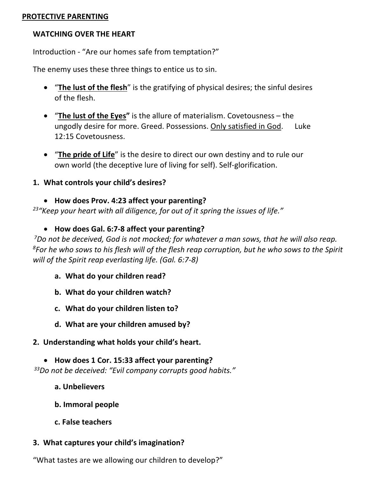#### **PROTECTIVE PARENTING**

#### **WATCHING OVER THE HEART**

Introduction - "Are our homes safe from temptation?"

The enemy uses these three things to entice us to sin.

- "**The lust of the flesh**" is the gratifying of physical desires; the sinful desires of the flesh.
- "**The lust of the Eyes"** is the allure of materialism. Covetousness the ungodly desire for more. Greed. Possessions. Only satisfied in God. Luke 12:15 Covetousness.
- "**The pride of Life**" is the desire to direct our own destiny and to rule our own world (the deceptive lure of living for self). Self-glorification.

#### **1. What controls your child's desires?**

• **How does Prov. 4:23 affect your parenting?**

*23"Keep your heart with all diligence, for out of it spring the issues of life."*

• **How does Gal. 6:7-8 affect your parenting?**

*7Do not be deceived, God is not mocked; for whatever a man sows, that he will also reap. 8For he who sows to his flesh will of the flesh reap corruption, but he who sows to the Spirit will of the Spirit reap everlasting life. (Gal. 6:7-8)*

- **a. What do your children read?**
- **b. What do your children watch?**
- **c. What do your children listen to?**
- **d. What are your children amused by?**
- **2. Understanding what holds your child's heart.**

• **How does 1 Cor. 15:33 affect your parenting?** *33Do not be deceived: "Evil company corrupts good habits."*

- **a. Unbelievers**
- **b. Immoral people**
- **c. False teachers**

#### **3. What captures your child's imagination?**

"What tastes are we allowing our children to develop?"